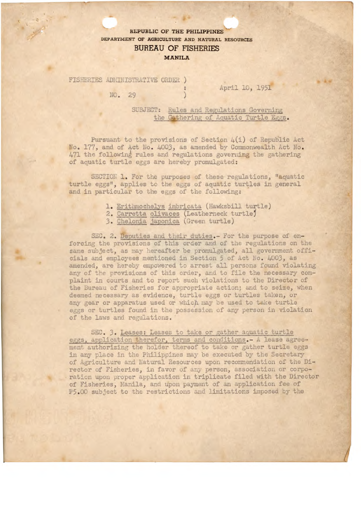## **REPUBLIC OF THE PHILIPPINES DEPARTMENT OF AGRICULTURE AND NATURAL RESOURCES BUREAU OF FISHERIES MANILA**

FISHERIES ADMINISTRATIVE ORDER )

NO. 29

April 10, 1951

T1

SUBJECT: Rules and Regulations Governing the Gathering of Aquatic Turtle Eggs.

Pursuant to the provisions of Section  $4(i)$  of Republic Act No. 177, and of Act No. 4003, as amended by Commonwealth Act No. 471 the following rules and regulations governing the gathering of aquatic turtle eggs are hereby promulgated:

SECTION 1. For the purposes of these regulations, "aquatic turtle eggs", applies to the eggs of aquatic turtles in general and in particular to the eggs of the following:

- 1. Erithmochelys imbricata (Hawksbill turtle)
- 2. Carretta olivaces (Leatherneck turtiej
- 3. Chelonia japonica (Green turtle)

SEC. 2. Deputies and their duties.- For the purpose of enforcing the provisions of this order and of the regulations on the same subject, as may hereafter be promulgated, all government officials and employees mentioned in Section 5 of Act No. 4003, as amended, are hereby empowered to arrest all persons found violating any of the provisions of this order, and to file the necessary complaint in courts and to report such violations to the Director of the Bureau of Fisheries for appropriate action; and to seize, when deemed necessary as evidence, turtle eggs or turtles taken, or any gear or apparatus used or which may be used to take turtle eggs or turtles found in the possession of any person in violation of the laws and regulations.

SEC. 3. Leases: Leases to take or gather aquatic turtle eggs, application therefor, terms and conditions.- A lease agreement authorizing the holder thereof to take or gather turtle eggs in any place in the Philippines may be executed by the Secretary of Agriculture and Natural Resources upon recommendation of the Director of Fisheries, in favor of any person, association or corporation upon proper application in triplicate filed with the Director of Fisheries, Manila, and upon payment of an application fee of 5.00 subject to the restrictions and limitations imposed by the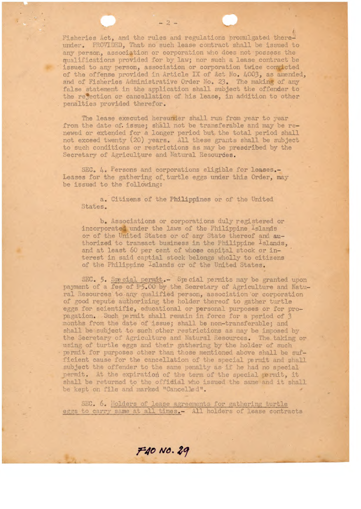Fisheries Act, and the rules and regulations promulgated thereunder. PROVIDED, That no such lease contract shall be issued to any person, association or corporation who does not possess the qualifications provided for by law; nor such a lease contract be issued to any person, association or corporation twice convicted of the offense provided in Article IX of Act No. 4003, as amended, and of Fisheries Administrative Order No. 23. The making of any false statement in the application shall subject the offender to the refection or cancellation of his lease, in addition to other penalties provided therefor.

The lease executed hereunder shall run from year to year from the date of. issue; shall not be transferable and may be renewed or extended for a longer period but. the total period shall not exceed twenty (20) Years. All these grants shall be subject to such conditions or restrictions as may be presdribed by the Secretary of Agriculture and Natural Resourdes.

SEC. *4.* Persons and corporations eligible for **leases.**- Leases for the gathering of turtle eggs under this Order, may he issued to the follwing:

a. Citizens of the Philippines or of the United States.

b. Associations or corporations duly registered or incorporated under the laws of the Philippine Islands or of the United States or of any State thereof and authorized to transact business in the Philippine <sup>1</sup>slands, and at least 60 per cent of whose capital stock or interest in said captial stock belongs wholly to citizens of the Philippine Islands or of the United States.

SEC. 5. Special permit.- Special permits may be granted upon payment of a fee of P5.00 by the Secretary of Agriculture and Natural Resources to any qualified person, association or corporation of good repute authorizing the holder thereof to gather turtle eggs for scientific, educational or personal purposes or for propagation. such permit shall remain in force for a period of 3 months from the date of issue; shall be non-transferable; and shall be subject to such pther restrictions as may be imposed by the Secretary of Agriculture and Natural Resources. The taking or using of turtle eggs and their gathering by the holder of such permit for purposes other than those mentioned above shall be sufficient cause for the cancellation of the special permit and shall subject the offender to the same penalty as if he had no special. permit. At the expiration of the term of the special permit, it shall be returned to the offidial who issued the same and it shall be kept on file and marked "Cancelled".

SEC. 6. Holders of lease agreements for gathering turtle eggs to carry same at all times.- All holders of lease contracts

F40 NO. 29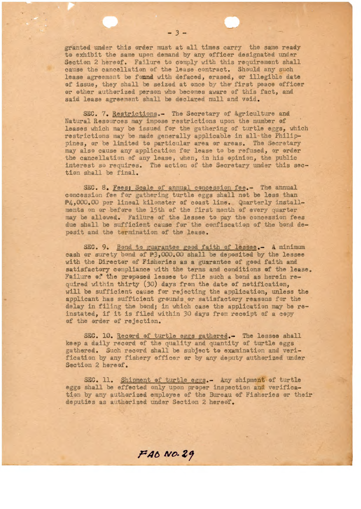granted under this order must at all times carry the same ready to exhibit the same upon demand by any officer designated under Section 2 hereof. Failure to comply with this requirement shall cause the cancellation of the lease contract. Should any such lease agreement be fonnd with defaced, erased, or illegible date of issue, they shall be seized at once by the first peace officer or other authorized person who becomes aware of this fact, and said lease agreement shall be declared null and void.

 $-3-$ 

SEC. 7. Restrictions.- The Secretary of Agriculture and Natural Resources may impose restrictions upon the number of leases which may be issued for the gathering of turtle eggs, which restrictions may be made generally applicable in all-the Philippines, or be limited to particular area or areas. The Secretary may also cause any application for lease to he refused, or order the cancellation of any lease, when, in his opinion, the public interest so requires. The action of the Secretary under this section shall be final.

SEC. 8. Fees: Scale of annual concession fee.- The annual concession fee for gathering turtle eggs shall not be less than 4,000.00 per lineal kilometer of coast line. Quarterly installments on or before the 15th of the first month of every quarter may be allowed. Failure of the lessee to pay the concession fees due shall be sufficient cause for the confiscation of the bond deposit and the termination of the lease.

SEC. 9. Bond to guarantee good faith of lessee.- A minimum cash or surety bond of P3,000.00 shall he deposited by the lessee with the Director of Fisheries as a guarantee of good faith and satisfactory compliance with the terms and conditions of the lease. Failure of the proposed lessee to file such a bond as herein required within thirty (30) days from the date of notification, will be sufficient cause for rejecting the application, unless the applicant has sufficient grounds or satisfactory reasons for the delay in filing the bond; in *which case* the application may be reinstated, if it is filed within 30 days from receipt of a copy of the order of rejection.

SEC. 10. Record of turtle eggs gathered.- The lessee shall keep a daily record of the quality and quantity of turtle eggs gathered. Such record shall be subject to examination and verification by any fishery officer or by any deputy authorized under Section 2 hereof.

SEC. 11. Shipment of turtle eggs.- Any shipment of turtle eggs shall be effected only upon proper inspection and verification by any authorized employee of the Bureau of Fisheries or their deputies as authorized under Section 2 hereof.

**14O ivo.Z**